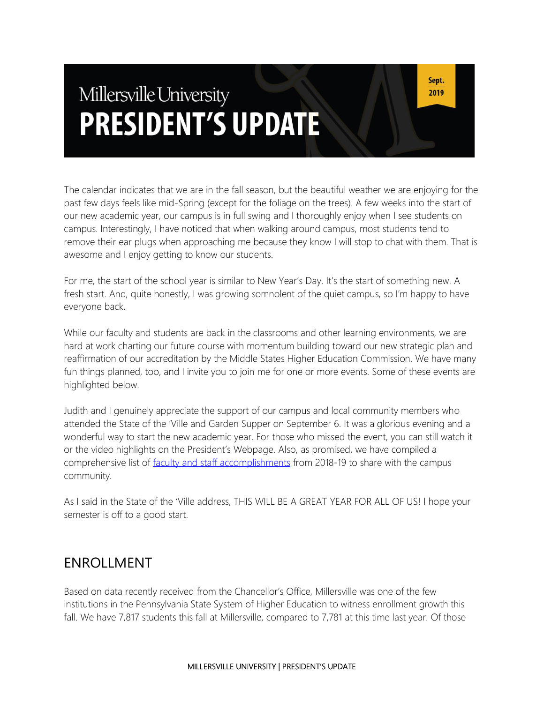# Millersville University **PRESIDENT'S UPDATE**

The calendar indicates that we are in the fall season, but the beautiful weather we are enjoying for the past few days feels like mid-Spring (except for the foliage on the trees). A few weeks into the start of our new academic year, our campus is in full swing and I thoroughly enjoy when I see students on campus. Interestingly, I have noticed that when walking around campus, most students tend to remove their ear plugs when approaching me because they know I will stop to chat with them. That is awesome and I enjoy getting to know our students.

For me, the start of the school year is similar to New Year's Day. It's the start of something new. A fresh start. And, quite honestly, I was growing somnolent of the quiet campus, so I'm happy to have everyone back.

While our faculty and students are back in the classrooms and other learning environments, we are hard at work charting our future course with momentum building toward our new strategic plan and reaffirmation of our accreditation by the Middle States Higher Education Commission. We have many fun things planned, too, and I invite you to join me for one or more events. Some of these events are highlighted below.

Judith and I genuinely appreciate the support of our campus and local community members who attended the State of the 'Ville and Garden Supper on September 6. It was a glorious evening and a wonderful way to start the new academic year. For those who missed the event, you can still watch it or the video highlights on the President's Webpage. Also, as promised, we have compiled a comprehensive list of [faculty and staff accomplishments](https://www.millersville.edu/president/files/faculty-staff-accolades.pdf) from 2018-19 to share with the campus community.

As I said in the State of the 'Ville address, THIS WILL BE A GREAT YEAR FOR ALL OF US! I hope your semester is off to a good start.

#### ENROLLMENT

Based on data recently received from the Chancellor's Office, Millersville was one of the few institutions in the Pennsylvania State System of Higher Education to witness enrollment growth this fall. We have 7,817 students this fall at Millersville, compared to 7,781 at this time last year. Of those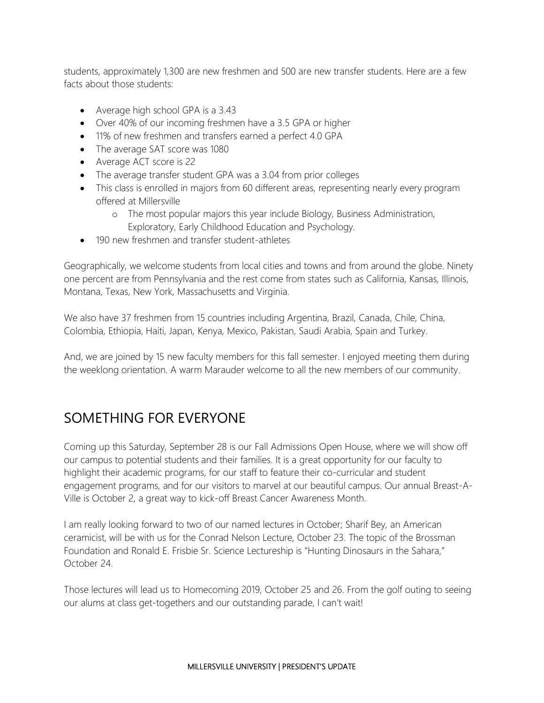students, approximately 1,300 are new freshmen and 500 are new transfer students. Here are a few facts about those students:

- Average high school GPA is a 3.43
- Over 40% of our incoming freshmen have a 3.5 GPA or higher
- 11% of new freshmen and transfers earned a perfect 4.0 GPA
- The average SAT score was 1080
- Average ACT score is 22
- The average transfer student GPA was a 3.04 from prior colleges
- This class is enrolled in majors from 60 different areas, representing nearly every program offered at Millersville
	- o The most popular majors this year include Biology, Business Administration, Exploratory, Early Childhood Education and Psychology.
- 190 new freshmen and transfer student-athletes

Geographically, we welcome students from local cities and towns and from around the globe. Ninety one percent are from Pennsylvania and the rest come from states such as California, Kansas, Illinois, Montana, Texas, New York, Massachusetts and Virginia.

We also have 37 freshmen from 15 countries including Argentina, Brazil, Canada, Chile, China, Colombia, Ethiopia, Haiti, Japan, Kenya, Mexico, Pakistan, Saudi Arabia, Spain and Turkey.

And, we are joined by 15 new faculty members for this fall semester. I enjoyed meeting them during the weeklong orientation. A warm Marauder welcome to all the new members of our community.

## SOMETHING FOR EVERYONE

Coming up this Saturday, September 28 is our Fall Admissions Open House, where we will show off our campus to potential students and their families. It is a great opportunity for our faculty to highlight their academic programs, for our staff to feature their co-curricular and student engagement programs, and for our visitors to marvel at our beautiful campus. Our annual Breast-A-Ville is October 2, a great way to kick-off Breast Cancer Awareness Month.

I am really looking forward to two of our named lectures in October; Sharif Bey, an American ceramicist, will be with us for the Conrad Nelson Lecture, October 23. The topic of the Brossman Foundation and Ronald E. Frisbie Sr. Science Lectureship is "Hunting Dinosaurs in the Sahara," October 24.

Those lectures will lead us to Homecoming 2019, October 25 and 26. From the golf outing to seeing our alums at class get-togethers and our outstanding parade, I can't wait!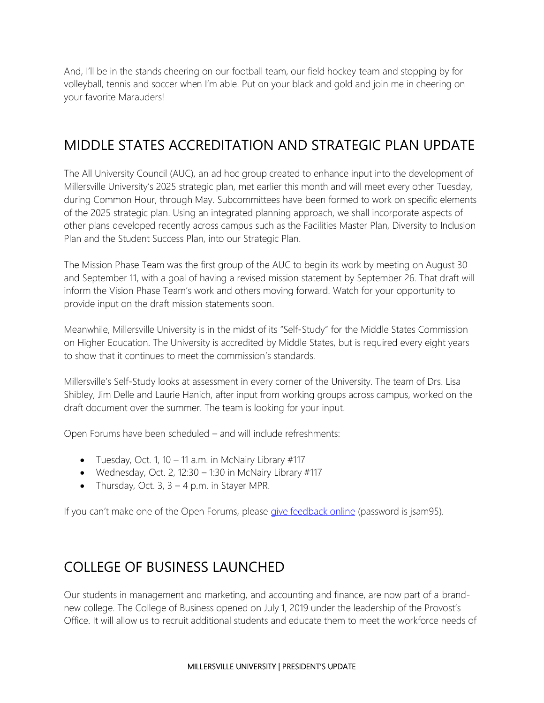And, I'll be in the stands cheering on our football team, our field hockey team and stopping by for volleyball, tennis and soccer when I'm able. Put on your black and gold and join me in cheering on your favorite Marauders!

## MIDDLE STATES ACCREDITATION AND STRATEGIC PLAN UPDATE

The All University Council (AUC), an ad hoc group created to enhance input into the development of Millersville University's 2025 strategic plan, met earlier this month and will meet every other Tuesday, during Common Hour, through May. Subcommittees have been formed to work on specific elements of the 2025 strategic plan. Using an integrated planning approach, we shall incorporate aspects of other plans developed recently across campus such as the Facilities Master Plan, Diversity to Inclusion Plan and the Student Success Plan, into our Strategic Plan.

The Mission Phase Team was the first group of the AUC to begin its work by meeting on August 30 and September 11, with a goal of having a revised mission statement by September 26. That draft will inform the Vision Phase Team's work and others moving forward. Watch for your opportunity to provide input on the draft mission statements soon.

Meanwhile, Millersville University is in the midst of its "Self-Study" for the Middle States Commission on Higher Education. The University is accredited by Middle States, but is required every eight years to show that it continues to meet the commission's standards.

Millersville's Self-Study looks at assessment in every corner of the University. The team of Drs. Lisa Shibley, Jim Delle and Laurie Hanich, after input from working groups across campus, worked on the draft document over the summer. The team is looking for your input.

Open Forums have been scheduled – and will include refreshments:

- Tuesday, Oct. 1, 10 11 a.m. in McNairy Library  $\#117$
- Wednesday, Oct. 2, 12:30  $-$  1:30 in McNairy Library #117
- Thursday, Oct. 3,  $3 4$  p.m. in Stayer MPR.

If you can't make one of the Open Forums, please [give feedback online](https://www.millersville.edu/rediscovermu/selfstudy/login.php) (password is jsam95).

## COLLEGE OF BUSINESS LAUNCHED

Our students in management and marketing, and accounting and finance, are now part of a brandnew college. The College of Business opened on July 1, 2019 under the leadership of the Provost's Office. It will allow us to recruit additional students and educate them to meet the workforce needs of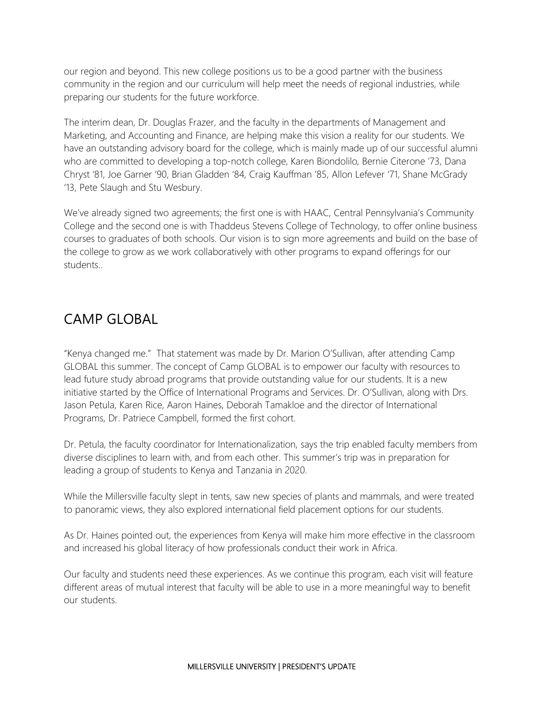our region and beyond. This new college positions us to be a good partner with the business community in the region and our curriculum will help meet the needs of regional industries, while preparing our students for the future workforce.

The interim dean, Dr. Douglas Frazer, and the faculty in the departments of Management and Marketing, and Accounting and Finance, are helping make this vision a reality for our students. We have an outstanding advisory board for the college, which is mainly made up of our successful alumni who are committed to developing a top-notch college, Karen Biondolilo, Bernie Citerone '73, Dana Chryst '81, Joe Garner '90, Brian Gladden '84, Craig Kauffman '85, Allon Lefever '71, Shane McGrady '13, Pete Slaugh and Stu Wesbury.

We've already signed two agreements; the first one is with HAAC, Central Pennsylvania's Community College and the second one is with Thaddeus Stevens College of Technology, to offer online business courses to graduates of both schools. Our vision is to sign more agreements and build on the base of the college to grow as we work collaboratively with other programs to expand offerings for our students..

#### CAMP GLOBAL

"Kenya changed me." That statement was made by Dr. Marion O'Sullivan, after attending Camp GLOBAL this summer. The concept of Camp GLOBAL is to empower our faculty with resources to lead future study abroad programs that provide outstanding value for our students. It is a new initiative started by the Office of International Programs and Services. Dr. O'Sullivan, along with Drs. Jason Petula, Karen Rice, Aaron Haines, Deborah Tamakloe and the director of International Programs, Dr. Patriece Campbell, formed the first cohort.

Dr. Petula, the faculty coordinator for Internationalization, says the trip enabled faculty members from diverse disciplines to learn with, and from each other. This summer's trip was in preparation for leading a group of students to Kenya and Tanzania in 2020.

While the Millersville faculty slept in tents, saw new species of plants and mammals, and were treated to panoramic views, they also explored international field placement options for our students.

As Dr. Haines pointed out, the experiences from Kenya will make him more effective in the classroom and increased his global literacy of how professionals conduct their work in Africa.

Our faculty and students need these experiences. As we continue this program, each visit will feature different areas of mutual interest that faculty will be able to use in a more meaningful way to benefit our students.